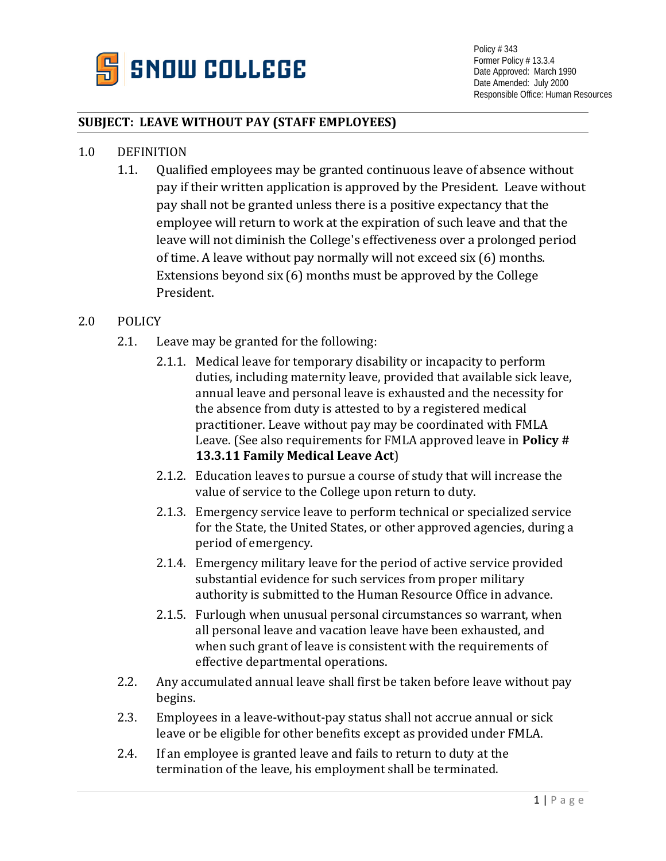

Policy # 343 Former Policy # 13.3.4 Date Approved: March 1990 Date Amended: July 2000 Responsible Office: Human Resources

## **SUBJECT: LEAVE WITHOUT PAY (STAFF EMPLOYEES)**

- 1.0 DEFINITION
	- 1.1. Qualified employees may be granted continuous leave of absence without pay if their written application is approved by the President. Leave without pay shall not be granted unless there is a positive expectancy that the employee will return to work at the expiration of such leave and that the leave will not diminish the College's effectiveness over a prolonged period of time. A leave without pay normally will not exceed six (6) months. Extensions beyond six (6) months must be approved by the College President.

## 2.0 POLICY

- 2.1. Leave may be granted for the following:
	- 2.1.1. Medical leave for temporary disability or incapacity to perform duties, including maternity leave, provided that available sick leave, annual leave and personal leave is exhausted and the necessity for the absence from duty is attested to by a registered medical practitioner. Leave without pay may be coordinated with FMLA Leave. (See also requirements for FMLA approved leave in **Policy # 13.3.11 Family Medical Leave Act**)
	- 2.1.2. Education leaves to pursue a course of study that will increase the value of service to the College upon return to duty.
	- 2.1.3. Emergency service leave to perform technical or specialized service for the State, the United States, or other approved agencies, during a period of emergency.
	- 2.1.4. Emergency military leave for the period of active service provided substantial evidence for such services from proper military authority is submitted to the Human Resource Office in advance.
	- 2.1.5. Furlough when unusual personal circumstances so warrant, when all personal leave and vacation leave have been exhausted, and when such grant of leave is consistent with the requirements of effective departmental operations.
- 2.2. Any accumulated annual leave shall first be taken before leave without pay begins.
- 2.3. Employees in a leave-without-pay status shall not accrue annual or sick leave or be eligible for other benefits except as provided under FMLA.
- 2.4. If an employee is granted leave and fails to return to duty at the termination of the leave, his employment shall be terminated.